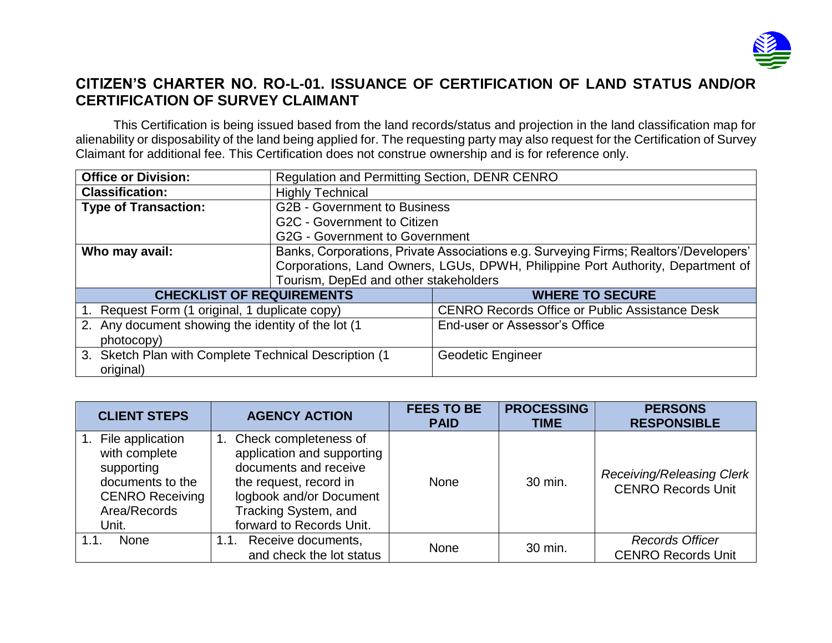

## **CITIZEN'S CHARTER NO. RO-L-01. ISSUANCE OF CERTIFICATION OF LAND STATUS AND/OR CERTIFICATION OF SURVEY CLAIMANT**

This Certification is being issued based from the land records/status and projection in the land classification map for alienability or disposability of the land being applied for. The requesting party may also request for the Certification of Survey Claimant for additional fee. This Certification does not construe ownership and is for reference only.

| <b>Office or Division:</b>                                         | <b>Regulation and Permitting Section, DENR CENRO</b>                                  |                                                       |  |  |
|--------------------------------------------------------------------|---------------------------------------------------------------------------------------|-------------------------------------------------------|--|--|
| <b>Classification:</b>                                             | <b>Highly Technical</b>                                                               |                                                       |  |  |
| <b>Type of Transaction:</b>                                        | <b>G2B - Government to Business</b>                                                   |                                                       |  |  |
|                                                                    | G2C - Government to Citizen                                                           |                                                       |  |  |
|                                                                    | G2G - Government to Government                                                        |                                                       |  |  |
| Who may avail:                                                     | Banks, Corporations, Private Associations e.g. Surveying Firms; Realtors'/Developers' |                                                       |  |  |
|                                                                    | Corporations, Land Owners, LGUs, DPWH, Philippine Port Authority, Department of       |                                                       |  |  |
|                                                                    | Tourism, DepEd and other stakeholders                                                 |                                                       |  |  |
| <b>CHECKLIST OF REQUIREMENTS</b>                                   |                                                                                       | <b>WHERE TO SECURE</b>                                |  |  |
| 1. Request Form (1 original, 1 duplicate copy)                     |                                                                                       | <b>CENRO Records Office or Public Assistance Desk</b> |  |  |
| 2. Any document showing the identity of the lot (1<br>photocopy)   |                                                                                       | End-user or Assessor's Office                         |  |  |
| 3. Sketch Plan with Complete Technical Description (1<br>original) |                                                                                       | Geodetic Engineer                                     |  |  |

| <b>CLIENT STEPS</b>                                                                                                    | <b>AGENCY ACTION</b>                                                                                                                                                                     | <b>FEES TO BE</b><br><b>PAID</b> | <b>PROCESSING</b><br><b>TIME</b> | <b>PERSONS</b><br><b>RESPONSIBLE</b>                          |
|------------------------------------------------------------------------------------------------------------------------|------------------------------------------------------------------------------------------------------------------------------------------------------------------------------------------|----------------------------------|----------------------------------|---------------------------------------------------------------|
| File application<br>with complete<br>supporting<br>documents to the<br><b>CENRO Receiving</b><br>Area/Records<br>Unit. | 1. Check completeness of<br>application and supporting<br>documents and receive<br>the request, record in<br>logbook and/or Document<br>Tracking System, and<br>forward to Records Unit. | <b>None</b>                      | 30 min.                          | <b>Receiving/Releasing Clerk</b><br><b>CENRO Records Unit</b> |
| <b>None</b><br>1.1                                                                                                     | 1.1. Receive documents,<br>and check the lot status                                                                                                                                      | <b>None</b>                      | 30 min.                          | <b>Records Officer</b><br><b>CENRO Records Unit</b>           |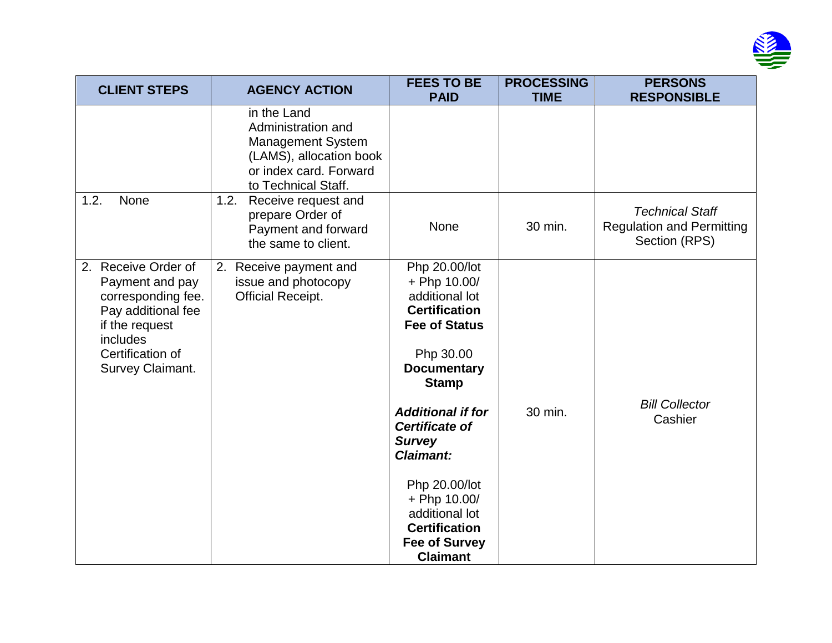

| <b>CLIENT STEPS</b>                                                                                                                                         | <b>AGENCY ACTION</b>                                                                                                                      | <b>FEES TO BE</b><br><b>PAID</b>                                                                                                                                                                                                                                                                                                                                   | <b>PROCESSING</b><br><b>TIME</b> | <b>PERSONS</b><br><b>RESPONSIBLE</b>                                        |
|-------------------------------------------------------------------------------------------------------------------------------------------------------------|-------------------------------------------------------------------------------------------------------------------------------------------|--------------------------------------------------------------------------------------------------------------------------------------------------------------------------------------------------------------------------------------------------------------------------------------------------------------------------------------------------------------------|----------------------------------|-----------------------------------------------------------------------------|
|                                                                                                                                                             | in the Land<br>Administration and<br><b>Management System</b><br>(LAMS), allocation book<br>or index card. Forward<br>to Technical Staff. |                                                                                                                                                                                                                                                                                                                                                                    |                                  |                                                                             |
| 1.2.<br>None                                                                                                                                                | 1.2.<br>Receive request and<br>prepare Order of<br>Payment and forward<br>the same to client.                                             | None                                                                                                                                                                                                                                                                                                                                                               | 30 min.                          | <b>Technical Staff</b><br><b>Regulation and Permitting</b><br>Section (RPS) |
| Receive Order of<br>2.<br>Payment and pay<br>corresponding fee.<br>Pay additional fee<br>if the request<br>includes<br>Certification of<br>Survey Claimant. | 2.<br>Receive payment and<br>issue and photocopy<br><b>Official Receipt.</b>                                                              | Php 20.00/lot<br>+ Php 10.00/<br>additional lot<br><b>Certification</b><br><b>Fee of Status</b><br>Php 30.00<br><b>Documentary</b><br><b>Stamp</b><br><b>Additional if for</b><br><b>Certificate of</b><br><b>Survey</b><br><b>Claimant:</b><br>Php 20.00/lot<br>+ Php 10.00/<br>additional lot<br><b>Certification</b><br><b>Fee of Survey</b><br><b>Claimant</b> | 30 min.                          | <b>Bill Collector</b><br>Cashier                                            |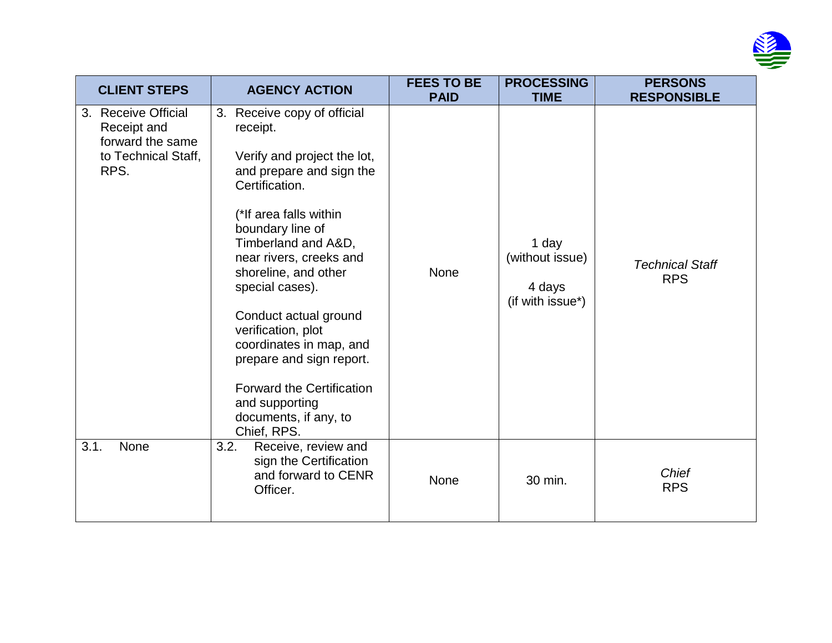

| <b>CLIENT STEPS</b>                                                                   | <b>AGENCY ACTION</b>                                                                                                                                                                                                                                                                                                                                                                                                                                                   | <b>FEES TO BE</b><br><b>PAID</b> | <b>PROCESSING</b><br><b>TIME</b>                       | <b>PERSONS</b><br><b>RESPONSIBLE</b> |
|---------------------------------------------------------------------------------------|------------------------------------------------------------------------------------------------------------------------------------------------------------------------------------------------------------------------------------------------------------------------------------------------------------------------------------------------------------------------------------------------------------------------------------------------------------------------|----------------------------------|--------------------------------------------------------|--------------------------------------|
| 3. Receive Official<br>Receipt and<br>forward the same<br>to Technical Staff,<br>RPS. | Receive copy of official<br>3.<br>receipt.<br>Verify and project the lot,<br>and prepare and sign the<br>Certification.<br>(*If area falls within<br>boundary line of<br>Timberland and A&D,<br>near rivers, creeks and<br>shoreline, and other<br>special cases).<br>Conduct actual ground<br>verification, plot<br>coordinates in map, and<br>prepare and sign report.<br><b>Forward the Certification</b><br>and supporting<br>documents, if any, to<br>Chief, RPS. | <b>None</b>                      | 1 day<br>(without issue)<br>4 days<br>(if with issue*) | <b>Technical Staff</b><br><b>RPS</b> |
| 3.1.<br>None                                                                          | 3.2.<br>Receive, review and<br>sign the Certification<br>and forward to CENR<br>Officer.                                                                                                                                                                                                                                                                                                                                                                               | None                             | 30 min.                                                | <b>Chief</b><br><b>RPS</b>           |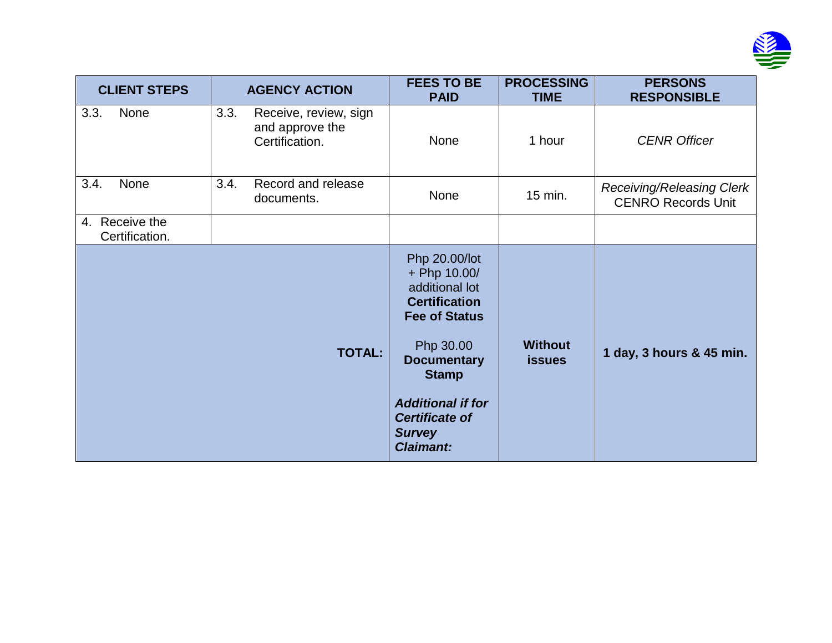

| <b>CLIENT STEPS</b>              | <b>AGENCY ACTION</b>                                               | <b>FEES TO BE</b><br><b>PAID</b>                                                                                                                                                                                                             | <b>PROCESSING</b><br><b>TIME</b> | <b>PERSONS</b><br><b>RESPONSIBLE</b>                          |
|----------------------------------|--------------------------------------------------------------------|----------------------------------------------------------------------------------------------------------------------------------------------------------------------------------------------------------------------------------------------|----------------------------------|---------------------------------------------------------------|
| 3.3.<br>None                     | 3.3.<br>Receive, review, sign<br>and approve the<br>Certification. | None                                                                                                                                                                                                                                         | 1 hour                           | <b>CENR Officer</b>                                           |
| 3.4.<br>None                     | 3.4.<br>Record and release<br>documents.                           | None                                                                                                                                                                                                                                         | 15 min.                          | <b>Receiving/Releasing Clerk</b><br><b>CENRO Records Unit</b> |
| 4. Receive the<br>Certification. |                                                                    |                                                                                                                                                                                                                                              |                                  |                                                               |
|                                  | <b>TOTAL:</b>                                                      | Php 20.00/lot<br>+ Php 10.00/<br>additional lot<br><b>Certification</b><br><b>Fee of Status</b><br>Php 30.00<br><b>Documentary</b><br><b>Stamp</b><br><b>Additional if for</b><br><b>Certificate of</b><br><b>Survey</b><br><b>Claimant:</b> | <b>Without</b><br><b>issues</b>  | 1 day, 3 hours & 45 min.                                      |